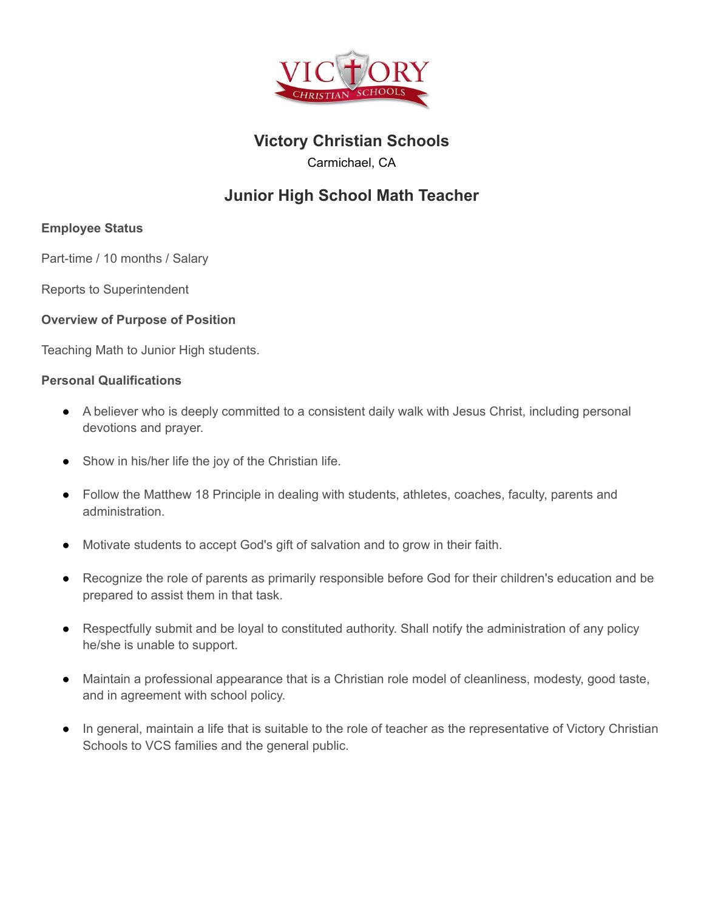

# **Victory Christian Schools**

Carmichael, CA

# **Junior High School Math Teacher**

# **Employee Status**

Part-time / 10 months / Salary

Reports to Superintendent

## **Overview of Purpose of Position**

Teaching Math to Junior High students.

### **Personal Qualifications**

- A believer who is deeply committed to a consistent daily walk with Jesus Christ, including personal devotions and prayer.
- Show in his/her life the joy of the Christian life.
- Follow the Matthew 18 Principle in dealing with students, athletes, coaches, faculty, parents and administration.
- Motivate students to accept God's gift of salvation and to grow in their faith.
- Recognize the role of parents as primarily responsible before God for their children's education and be prepared to assist them in that task.
- Respectfully submit and be loyal to constituted authority. Shall notify the administration of any policy he/she is unable to support.
- Maintain a professional appearance that is a Christian role model of cleanliness, modesty, good taste, and in agreement with school policy.
- In general, maintain a life that is suitable to the role of teacher as the representative of Victory Christian Schools to VCS families and the general public.